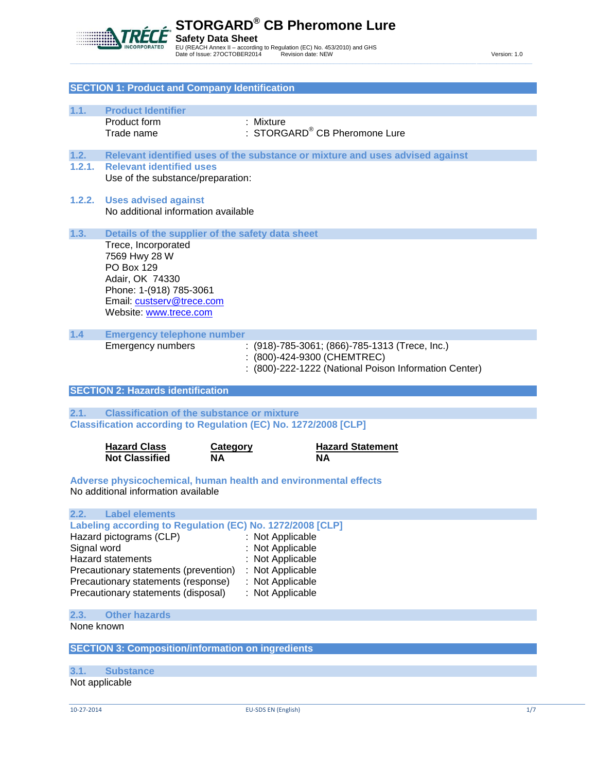

|                    | <b>SECTION 1: Product and Company Identification</b>                         |                                                                               |  |
|--------------------|------------------------------------------------------------------------------|-------------------------------------------------------------------------------|--|
|                    |                                                                              |                                                                               |  |
| 1.1.               | <b>Product Identifier</b>                                                    |                                                                               |  |
|                    | Product form<br>Trade name                                                   | : Mixture<br>: STORGARD® CB Pheromone Lure                                    |  |
|                    |                                                                              |                                                                               |  |
| 1.2.               |                                                                              | Relevant identified uses of the substance or mixture and uses advised against |  |
| 1.2.1.             | <b>Relevant identified uses</b>                                              |                                                                               |  |
|                    | Use of the substance/preparation:                                            |                                                                               |  |
| 1.2.2.             | <b>Uses advised against</b>                                                  |                                                                               |  |
|                    | No additional information available                                          |                                                                               |  |
| 1.3.               |                                                                              |                                                                               |  |
|                    | Trece, Incorporated                                                          | Details of the supplier of the safety data sheet                              |  |
|                    | 7569 Hwy 28 W                                                                |                                                                               |  |
|                    | PO Box 129                                                                   |                                                                               |  |
|                    | Adair, OK 74330                                                              |                                                                               |  |
|                    | Phone: 1-(918) 785-3061<br>Email: custserv@trece.com                         |                                                                               |  |
|                    | Website: www.trece.com                                                       |                                                                               |  |
|                    |                                                                              |                                                                               |  |
| 1.4                | <b>Emergency telephone number</b><br><b>Emergency numbers</b>                | : (918)-785-3061; (866)-785-1313 (Trece, Inc.)                                |  |
|                    |                                                                              | (800)-424-9300 (CHEMTREC)                                                     |  |
|                    |                                                                              | (800)-222-1222 (National Poison Information Center)                           |  |
|                    |                                                                              |                                                                               |  |
|                    |                                                                              |                                                                               |  |
|                    | <b>SECTION 2: Hazards identification</b>                                     |                                                                               |  |
| 2.1.               | <b>Classification of the substance or mixture</b>                            |                                                                               |  |
|                    |                                                                              | <b>Classification according to Regulation (EC) No. 1272/2008 [CLP]</b>        |  |
|                    |                                                                              |                                                                               |  |
|                    | <b>Hazard Class</b><br><b>Not Classified</b>                                 | <b>Hazard Statement</b><br><b>Category</b><br>NΑ<br>ΝA                        |  |
|                    |                                                                              |                                                                               |  |
|                    |                                                                              | Adverse physicochemical, human health and environmental effects               |  |
|                    | No additional information available                                          |                                                                               |  |
| 2.2.               | <b>Label elements</b>                                                        |                                                                               |  |
|                    |                                                                              | Labeling according to Regulation (EC) No. 1272/2008 [CLP]                     |  |
|                    | Hazard pictograms (CLP)                                                      | Not Applicable                                                                |  |
|                    |                                                                              | Not Applicable                                                                |  |
| Signal word        | <b>Hazard statements</b>                                                     | Not Applicable                                                                |  |
|                    | Precautionary statements (prevention)<br>Precautionary statements (response) | Not Applicable<br>: Not Applicable                                            |  |
|                    | Precautionary statements (disposal)                                          | : Not Applicable                                                              |  |
|                    |                                                                              |                                                                               |  |
| 2.3.<br>None known | <b>Other hazards</b>                                                         |                                                                               |  |
|                    |                                                                              |                                                                               |  |
|                    | <b>SECTION 3: Composition/information on ingredients</b>                     |                                                                               |  |
| 3.1.               |                                                                              |                                                                               |  |
|                    | <b>Substance</b><br>Not applicable                                           |                                                                               |  |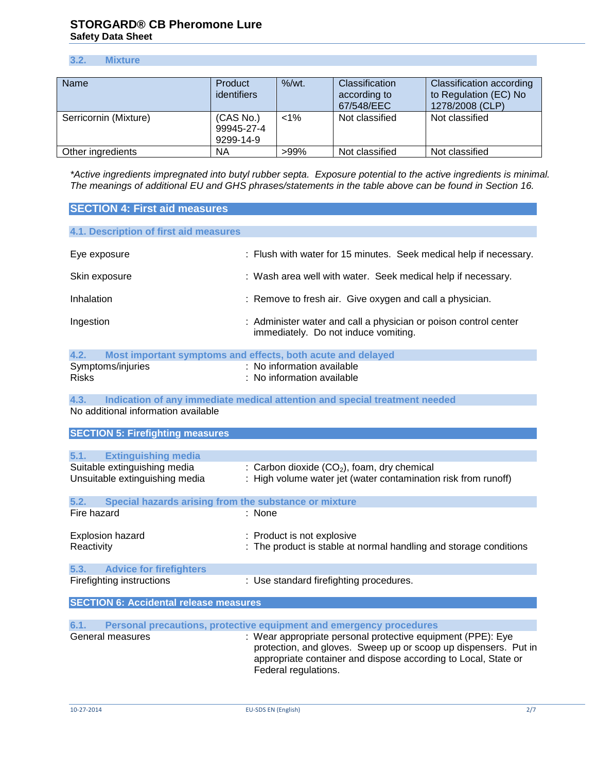# **3.2. Mixture**

| Name                  | Product<br><b>identifiers</b>        | $%$ /wt. | <b>Classification</b><br>according to<br>67/548/EEC | <b>Classification according</b><br>to Regulation (EC) No<br>1278/2008 (CLP) |
|-----------------------|--------------------------------------|----------|-----------------------------------------------------|-----------------------------------------------------------------------------|
| Serricornin (Mixture) | (CAS No.)<br>99945-27-4<br>9299-14-9 | $< 1\%$  | Not classified                                      | Not classified                                                              |
| Other ingredients     | ΝA                                   | $>99\%$  | Not classified                                      | Not classified                                                              |

*\*Active ingredients impregnated into butyl rubber septa. Exposure potential to the active ingredients is minimal. The meanings of additional EU and GHS phrases/statements in the table above can be found in Section 16.*

| <b>SECTION 4: First aid measures</b>                          |                                                                                                          |
|---------------------------------------------------------------|----------------------------------------------------------------------------------------------------------|
| 4.1. Description of first aid measures                        |                                                                                                          |
| Eye exposure                                                  | : Flush with water for 15 minutes. Seek medical help if necessary.                                       |
| Skin exposure                                                 | : Wash area well with water. Seek medical help if necessary.                                             |
| Inhalation                                                    | : Remove to fresh air. Give oxygen and call a physician.                                                 |
| Ingestion                                                     | : Administer water and call a physician or poison control center<br>immediately. Do not induce vomiting. |
| 4.2.                                                          | Most important symptoms and effects, both acute and delayed                                              |
| Symptoms/injuries                                             | : No information available                                                                               |
| <b>Risks</b>                                                  | : No information available                                                                               |
|                                                               |                                                                                                          |
| 4.3.                                                          | Indication of any immediate medical attention and special treatment needed                               |
| No additional information available                           |                                                                                                          |
| <b>SECTION 5: Firefighting measures</b>                       |                                                                                                          |
|                                                               |                                                                                                          |
| <b>Extinguishing media</b><br>5.1.                            |                                                                                                          |
| Suitable extinguishing media                                  | : Carbon dioxide $(CO2)$ , foam, dry chemical                                                            |
| Unsuitable extinguishing media                                | : High volume water jet (water contamination risk from runoff)                                           |
| Special hazards arising from the substance or mixture<br>5.2. |                                                                                                          |
| Fire hazard                                                   | : None                                                                                                   |
|                                                               |                                                                                                          |
| Explosion hazard                                              | : Product is not explosive                                                                               |
| Reactivity                                                    | : The product is stable at normal handling and storage conditions                                        |
| <b>Advice for firefighters</b><br>5.3.                        |                                                                                                          |
| Firefighting instructions                                     | : Use standard firefighting procedures.                                                                  |

|  | <b>SECTION 6: Accidental release measures</b> |  |
|--|-----------------------------------------------|--|
|  |                                               |  |

| 6.1.             | Personal precautions, protective equipment and emergency procedures                                                                                                                                                      |
|------------------|--------------------------------------------------------------------------------------------------------------------------------------------------------------------------------------------------------------------------|
| General measures | : Wear appropriate personal protective equipment (PPE): Eye<br>protection, and gloves. Sweep up or scoop up dispensers. Put in<br>appropriate container and dispose according to Local, State or<br>Federal regulations. |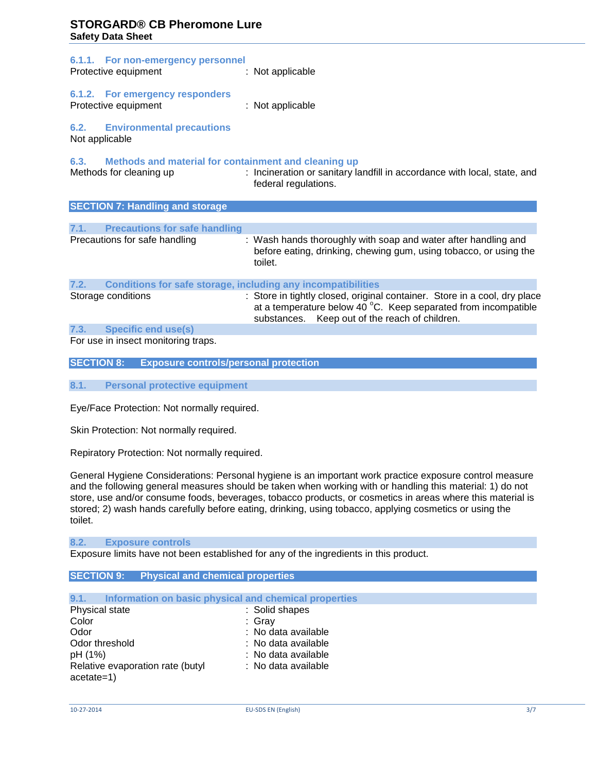| 6.1.1. For non-emergency personnel<br>Protective equipment                              | : Not applicable                                                                                                                                                                                        |
|-----------------------------------------------------------------------------------------|---------------------------------------------------------------------------------------------------------------------------------------------------------------------------------------------------------|
| 6.1.2. For emergency responders<br>Protective equipment                                 | : Not applicable                                                                                                                                                                                        |
| <b>6.2. Environmental precautions</b><br>Not applicable                                 |                                                                                                                                                                                                         |
| 6.3.<br>Methods and material for containment and cleaning up<br>Methods for cleaning up | : Incineration or sanitary landfill in accordance with local, state, and<br>federal regulations.                                                                                                        |
| <b>SECTION 7: Handling and storage</b>                                                  |                                                                                                                                                                                                         |
|                                                                                         |                                                                                                                                                                                                         |
| 7.1. Precautions for safe handling                                                      |                                                                                                                                                                                                         |
| Precautions for safe handling                                                           | : Wash hands thoroughly with soap and water after handling and<br>before eating, drinking, chewing gum, using tobacco, or using the<br>toilet.                                                          |
| 7.2.<br><b>Conditions for safe storage, including any incompatibilities</b>             |                                                                                                                                                                                                         |
| Storage conditions                                                                      | : Store in tightly closed, original container. Store in a cool, dry place<br>at a temperature below 40 $^{\circ}$ C. Keep separated from incompatible<br>substances. Keep out of the reach of children. |
| 7.3. Specific end use(s)                                                                |                                                                                                                                                                                                         |
| For use in incost monitoring trans                                                      |                                                                                                                                                                                                         |

For use in insect monitoring traps.

**SECTION 8: Exposure controls/personal protection**

**8.1. Personal protective equipment**

Eye/Face Protection: Not normally required.

Skin Protection: Not normally required.

Repiratory Protection: Not normally required.

General Hygiene Considerations: Personal hygiene is an important work practice exposure control measure and the following general measures should be taken when working with or handling this material: 1) do not store, use and/or consume foods, beverages, tobacco products, or cosmetics in areas where this material is stored; 2) wash hands carefully before eating, drinking, using tobacco, applying cosmetics or using the toilet.

#### **8.2. Exposure controls**

Exposure limits have not been established for any of the ingredients in this product.

# **SECTION 9: Physical and chemical properties**

| 9.1.           |                                  |  | Information on basic physical and chemical properties |
|----------------|----------------------------------|--|-------------------------------------------------------|
| Physical state |                                  |  | : Solid shapes                                        |
| Color          |                                  |  | : Grav                                                |
| Odor           |                                  |  | : No data available                                   |
| Odor threshold |                                  |  | : No data available                                   |
| pH (1%)        |                                  |  | : No data available                                   |
|                | Relative evaporation rate (butyl |  | : No data available                                   |
| $acetate=1)$   |                                  |  |                                                       |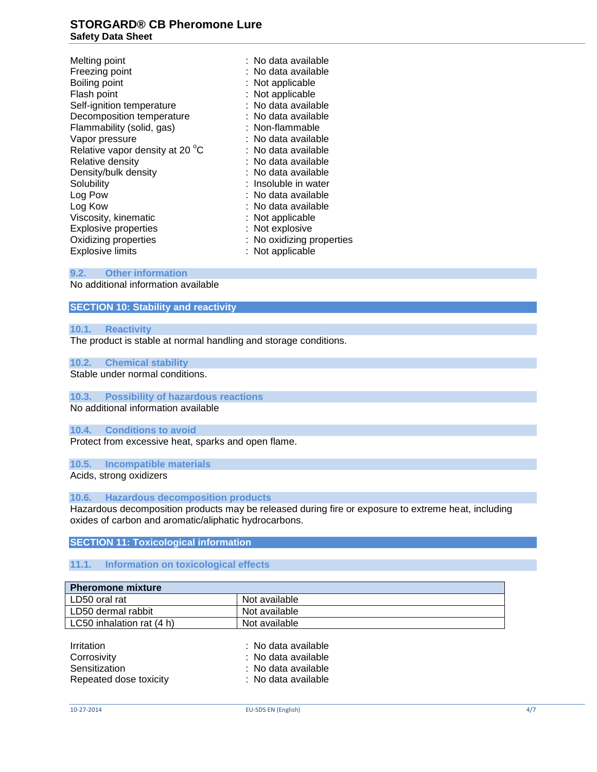Melting point **in the set of the set of the set of the set of the set of the set of the set of the set of the set of the set of the set of the set of the set of the set of the set of the set of the set of the set of the se** Freezing point : No data available Boiling point **: Not applicable** Flash point : Not applicable Self-ignition temperature : No data available Decomposition temperature : No data available Flammability (solid, gas) : Non-flammable Vapor pressure  $\cdot$  Vapor pressure  $\cdot$  No data available Relative vapor density at 20 °C  $\cdot$  No data available Relative vapor density at 20  $^{\circ}$ C : No data available<br>Relative density : No data available Relative density Density/bulk density **intervalled** : No data available Solubility **Solubility** : Insoluble in water<br>
Log Pow **intervals in the Contract of Solution**<br>
Solubility **intervalse in the Contract of Solution**<br>
Intervalse in the Contract of Solution<br>
Intervalse in the Contract of Solu : No data available Log Kow : No data available Viscosity, kinematic : Not applicable : Not applicable Explosive properties : Not explosive Oxidizing properties **in the Contract Contract Contract Contract Contract Contract Contract Contract Contract Contract Contract Contract Contract Contract Contract Contract Contract Contract Contract Contract Contract Cont** Explosive limits : Not applicable

# **9.2. Other information**

No additional information available

# **SECTION 10: Stability and reactivity**

#### **10.1. Reactivity**

The product is stable at normal handling and storage conditions.

#### **10.2. Chemical stability**

Stable under normal conditions.

# **10.3. Possibility of hazardous reactions**

No additional information available

#### **10.4. Conditions to avoid**

Protect from excessive heat, sparks and open flame.

# **10.5. Incompatible materials**

Acids, strong oxidizers

#### **10.6. Hazardous decomposition products**

Hazardous decomposition products may be released during fire or exposure to extreme heat, including oxides of carbon and aromatic/aliphatic hydrocarbons.

#### **SECTION 11: Toxicological information**

# **11.1. Information on toxicological effects**

| <b>Pheromone mixture</b>  |               |  |  |  |
|---------------------------|---------------|--|--|--|
| LD50 oral rat             | Not available |  |  |  |
| LD50 dermal rabbit        | Not available |  |  |  |
| LC50 inhalation rat (4 h) | Not available |  |  |  |

| Irritation             | : No data available |
|------------------------|---------------------|
| Corrosivity            | : No data available |
| Sensitization          | : No data available |
| Repeated dose toxicity | : No data available |
|                        |                     |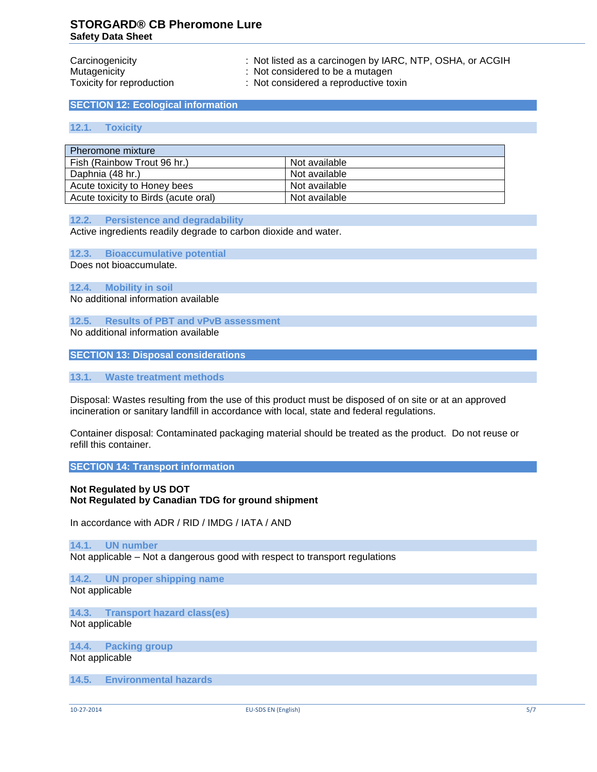Carcinogenicity : Not listed as a carcinogen by IARC, NTP, OSHA, or ACGIH

Mutagenicity **in the same of the set of the set of the set of the set of the set of the set of the set of the set of the set of the set of the set of the set of the set of the set of the set of the set of the set of the se** 

Toxicity for reproduction : Not considered a reproductive toxin

**SECTION 12: Ecological information**

### **12.1. Toxicity**

| Pheromone mixture                    |               |
|--------------------------------------|---------------|
| Fish (Rainbow Trout 96 hr.)          | Not available |
| Daphnia (48 hr.)                     | Not available |
| Acute toxicity to Honey bees         | Not available |
| Acute toxicity to Birds (acute oral) | Not available |

#### **12.2. Persistence and degradability**

Active ingredients readily degrade to carbon dioxide and water.

**12.3. Bioaccumulative potential**

Does not bioaccumulate.

**12.4. Mobility in soil** No additional information available

**12.5. Results of PBT and vPvB assessment**

No additional information available

**SECTION 13: Disposal considerations**

**13.1. Waste treatment methods**

Disposal: Wastes resulting from the use of this product must be disposed of on site or at an approved incineration or sanitary landfill in accordance with local, state and federal regulations.

Container disposal: Contaminated packaging material should be treated as the product. Do not reuse or refill this container.

**SECTION 14: Transport information**

# **Not Regulated by US DOT Not Regulated by Canadian TDG for ground shipment**

In accordance with ADR / RID / IMDG / IATA / AND

# **14.1. UN number**

Not applicable – Not a dangerous good with respect to transport regulations

**14.2. UN proper shipping name** Not applicable

**14.3. Transport hazard class(es)** Not applicable

**14.4. Packing group** Not applicable

**14.5. Environmental hazards**